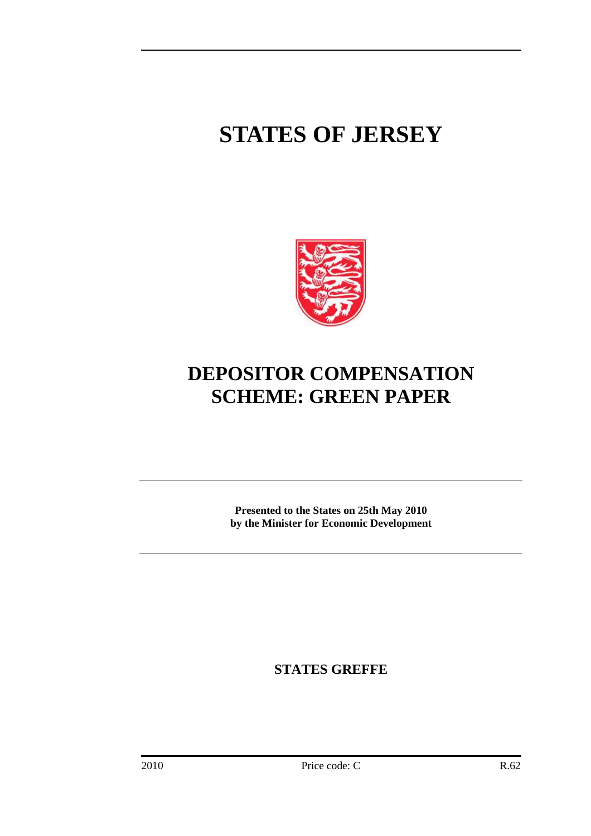## **STATES OF JERSEY**



### **DEPOSITOR COMPENSATION SCHEME: GREEN PAPER**

**Presented to the States on 25th May 2010 by the Minister for Economic Development** 

**STATES GREFFE**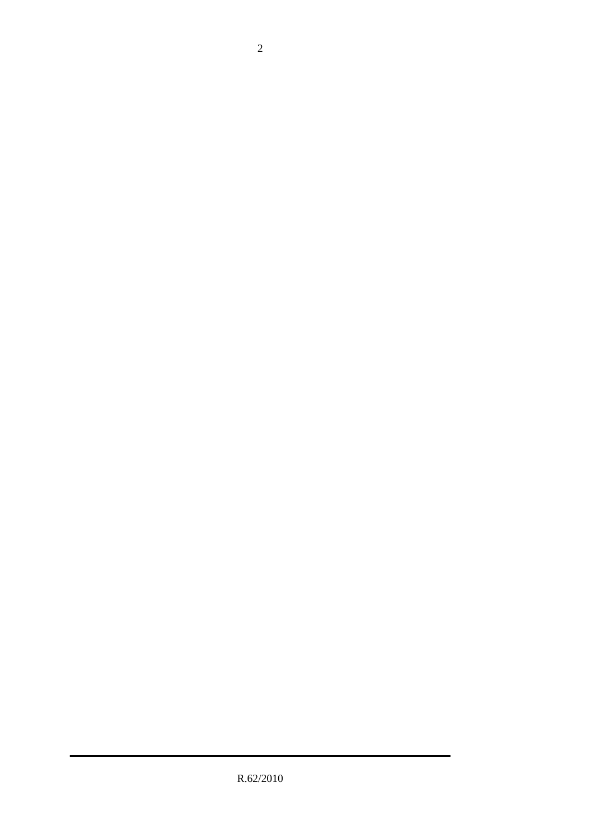2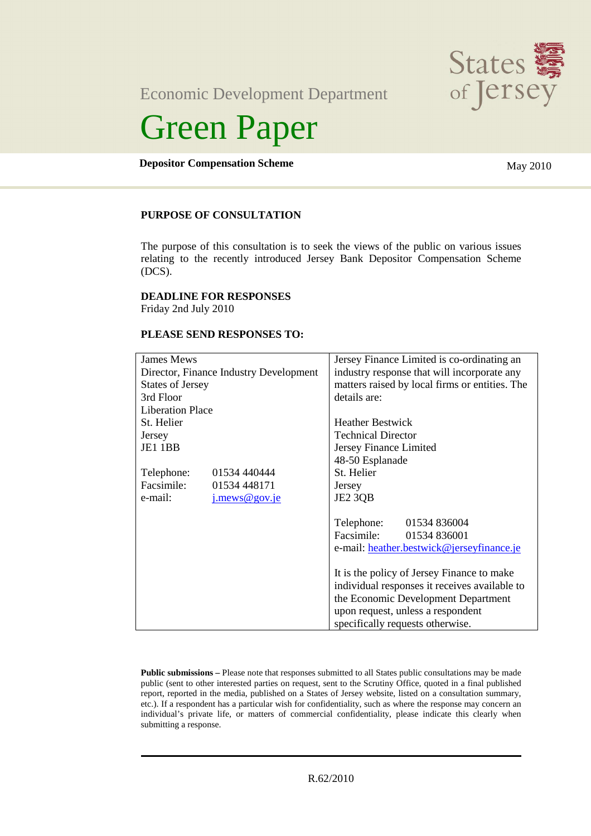Economic Development Department



# Green Paper

#### **Depositor Compensation Scheme May 2010**

#### **PURPOSE OF CONSULTATION**

The purpose of this consultation is to seek the views of the public on various issues relating to the recently introduced Jersey Bank Depositor Compensation Scheme (DCS).

#### **DEADLINE FOR RESPONSES**

Friday 2nd July 2010

#### **PLEASE SEND RESPONSES TO:**

| James Mews                             |                    | Jersey Finance Limited is co-ordinating an     |
|----------------------------------------|--------------------|------------------------------------------------|
| Director, Finance Industry Development |                    | industry response that will incorporate any    |
| <b>States of Jersey</b>                |                    | matters raised by local firms or entities. The |
| 3rd Floor                              |                    | details are:                                   |
| <b>Liberation Place</b>                |                    |                                                |
| St. Helier                             |                    | <b>Heather Bestwick</b>                        |
| Jersey                                 |                    | <b>Technical Director</b>                      |
| JE1 1BB                                |                    | Jersey Finance Limited                         |
|                                        |                    | 48-50 Esplanade                                |
| Telephone:                             | 01534 440444       | St. Helier                                     |
| Facsimile:                             | 01534 448171       | Jersey                                         |
| e-mail:                                | $j$ mews @ gov. je | JE <sub>2</sub> 3QB                            |
|                                        |                    |                                                |
|                                        |                    | Telephone: 01534 836004                        |
|                                        |                    | Facsimile:<br>01534 836001                     |
|                                        |                    | e-mail: heather.bestwick@jerseyfinance.je      |
|                                        |                    |                                                |
|                                        |                    | It is the policy of Jersey Finance to make     |
|                                        |                    | individual responses it receives available to  |
|                                        |                    | the Economic Development Department            |
|                                        |                    | upon request, unless a respondent              |
|                                        |                    | specifically requests otherwise.               |

**Public submissions –** Please note that responses submitted to all States public consultations may be made public (sent to other interested parties on request, sent to the Scrutiny Office, quoted in a final published report, reported in the media, published on a States of Jersey website, listed on a consultation summary, etc.). If a respondent has a particular wish for confidentiality, such as where the response may concern an individual's private life, or matters of commercial confidentiality, please indicate this clearly when submitting a response.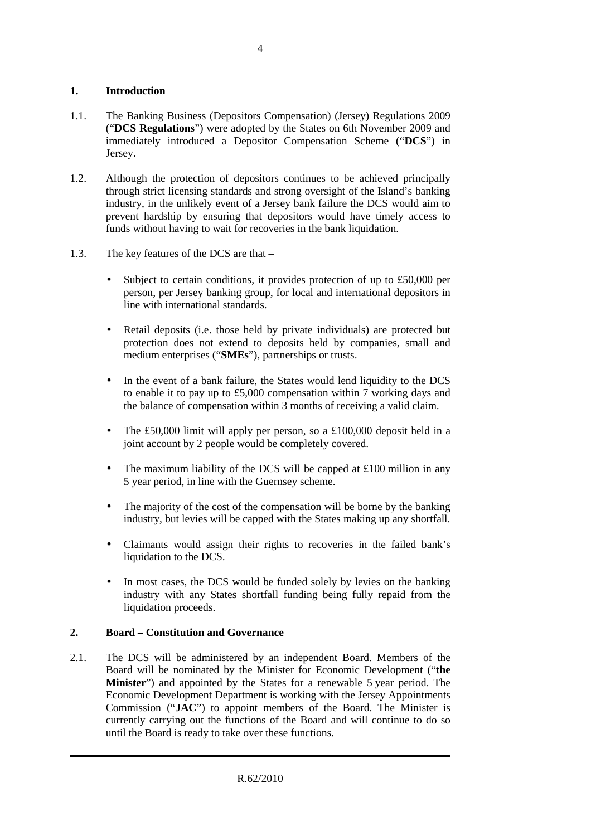#### **1. Introduction**

- 1.1. The Banking Business (Depositors Compensation) (Jersey) Regulations 2009 ("**DCS Regulations**") were adopted by the States on 6th November 2009 and immediately introduced a Depositor Compensation Scheme ("**DCS**") in Jersey.
- 1.2. Although the protection of depositors continues to be achieved principally through strict licensing standards and strong oversight of the Island's banking industry, in the unlikely event of a Jersey bank failure the DCS would aim to prevent hardship by ensuring that depositors would have timely access to funds without having to wait for recoveries in the bank liquidation.
- 1.3. The key features of the DCS are that
	- Subject to certain conditions, it provides protection of up to £50,000 per person, per Jersey banking group, for local and international depositors in line with international standards.
	- Retail deposits (i.e. those held by private individuals) are protected but protection does not extend to deposits held by companies, small and medium enterprises ("**SMEs**"), partnerships or trusts.
	- In the event of a bank failure, the States would lend liquidity to the DCS to enable it to pay up to £5,000 compensation within 7 working days and the balance of compensation within 3 months of receiving a valid claim.
	- The £50,000 limit will apply per person, so a £100,000 deposit held in a joint account by 2 people would be completely covered.
	- The maximum liability of the DCS will be capped at  $\text{\pounds}100$  million in any 5 year period, in line with the Guernsey scheme.
	- The majority of the cost of the compensation will be borne by the banking industry, but levies will be capped with the States making up any shortfall.
	- Claimants would assign their rights to recoveries in the failed bank's liquidation to the DCS.
	- In most cases, the DCS would be funded solely by levies on the banking industry with any States shortfall funding being fully repaid from the liquidation proceeds.

#### **2. Board – Constitution and Governance**

2.1. The DCS will be administered by an independent Board. Members of the Board will be nominated by the Minister for Economic Development ("**the Minister**") and appointed by the States for a renewable 5 year period. The Economic Development Department is working with the Jersey Appointments Commission ("**JAC**") to appoint members of the Board. The Minister is currently carrying out the functions of the Board and will continue to do so until the Board is ready to take over these functions.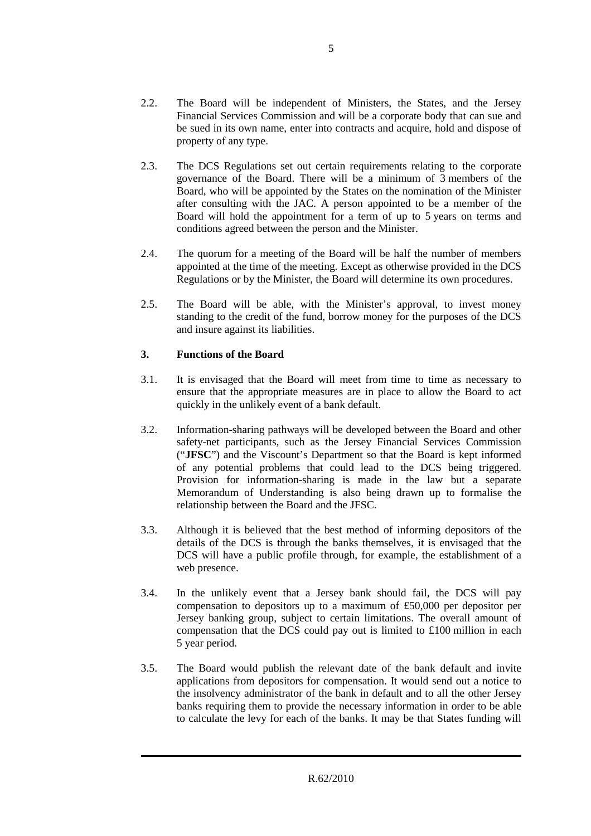- 2.2. The Board will be independent of Ministers, the States, and the Jersey Financial Services Commission and will be a corporate body that can sue and be sued in its own name, enter into contracts and acquire, hold and dispose of property of any type.
- 2.3. The DCS Regulations set out certain requirements relating to the corporate governance of the Board. There will be a minimum of 3 members of the Board, who will be appointed by the States on the nomination of the Minister after consulting with the JAC. A person appointed to be a member of the Board will hold the appointment for a term of up to 5 years on terms and conditions agreed between the person and the Minister.
- 2.4. The quorum for a meeting of the Board will be half the number of members appointed at the time of the meeting. Except as otherwise provided in the DCS Regulations or by the Minister, the Board will determine its own procedures.
- 2.5. The Board will be able, with the Minister's approval, to invest money standing to the credit of the fund, borrow money for the purposes of the DCS and insure against its liabilities.

#### **3. Functions of the Board**

- 3.1. It is envisaged that the Board will meet from time to time as necessary to ensure that the appropriate measures are in place to allow the Board to act quickly in the unlikely event of a bank default.
- 3.2. Information-sharing pathways will be developed between the Board and other safety-net participants, such as the Jersey Financial Services Commission ("**JFSC**") and the Viscount's Department so that the Board is kept informed of any potential problems that could lead to the DCS being triggered. Provision for information-sharing is made in the law but a separate Memorandum of Understanding is also being drawn up to formalise the relationship between the Board and the JFSC.
- 3.3. Although it is believed that the best method of informing depositors of the details of the DCS is through the banks themselves, it is envisaged that the DCS will have a public profile through, for example, the establishment of a web presence.
- 3.4. In the unlikely event that a Jersey bank should fail, the DCS will pay compensation to depositors up to a maximum of £50,000 per depositor per Jersey banking group, subject to certain limitations. The overall amount of compensation that the DCS could pay out is limited to £100 million in each 5 year period.
- 3.5. The Board would publish the relevant date of the bank default and invite applications from depositors for compensation. It would send out a notice to the insolvency administrator of the bank in default and to all the other Jersey banks requiring them to provide the necessary information in order to be able to calculate the levy for each of the banks. It may be that States funding will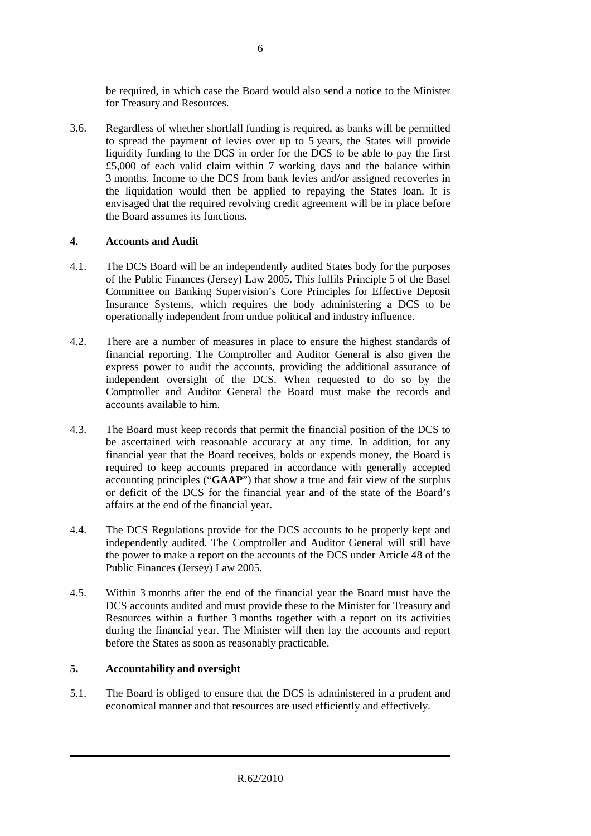be required, in which case the Board would also send a notice to the Minister for Treasury and Resources.

3.6. Regardless of whether shortfall funding is required, as banks will be permitted to spread the payment of levies over up to 5 years, the States will provide liquidity funding to the DCS in order for the DCS to be able to pay the first £5,000 of each valid claim within 7 working days and the balance within 3 months. Income to the DCS from bank levies and/or assigned recoveries in the liquidation would then be applied to repaying the States loan. It is envisaged that the required revolving credit agreement will be in place before the Board assumes its functions.

#### **4. Accounts and Audit**

- 4.1. The DCS Board will be an independently audited States body for the purposes of the Public Finances (Jersey) Law 2005. This fulfils Principle 5 of the Basel Committee on Banking Supervision's Core Principles for Effective Deposit Insurance Systems, which requires the body administering a DCS to be operationally independent from undue political and industry influence.
- 4.2. There are a number of measures in place to ensure the highest standards of financial reporting. The Comptroller and Auditor General is also given the express power to audit the accounts, providing the additional assurance of independent oversight of the DCS. When requested to do so by the Comptroller and Auditor General the Board must make the records and accounts available to him.
- 4.3. The Board must keep records that permit the financial position of the DCS to be ascertained with reasonable accuracy at any time. In addition, for any financial year that the Board receives, holds or expends money, the Board is required to keep accounts prepared in accordance with generally accepted accounting principles ("**GAAP**") that show a true and fair view of the surplus or deficit of the DCS for the financial year and of the state of the Board's affairs at the end of the financial year.
- 4.4. The DCS Regulations provide for the DCS accounts to be properly kept and independently audited. The Comptroller and Auditor General will still have the power to make a report on the accounts of the DCS under Article 48 of the Public Finances (Jersey) Law 2005.
- 4.5. Within 3 months after the end of the financial year the Board must have the DCS accounts audited and must provide these to the Minister for Treasury and Resources within a further 3 months together with a report on its activities during the financial year. The Minister will then lay the accounts and report before the States as soon as reasonably practicable.

#### **5. Accountability and oversight**

5.1. The Board is obliged to ensure that the DCS is administered in a prudent and economical manner and that resources are used efficiently and effectively.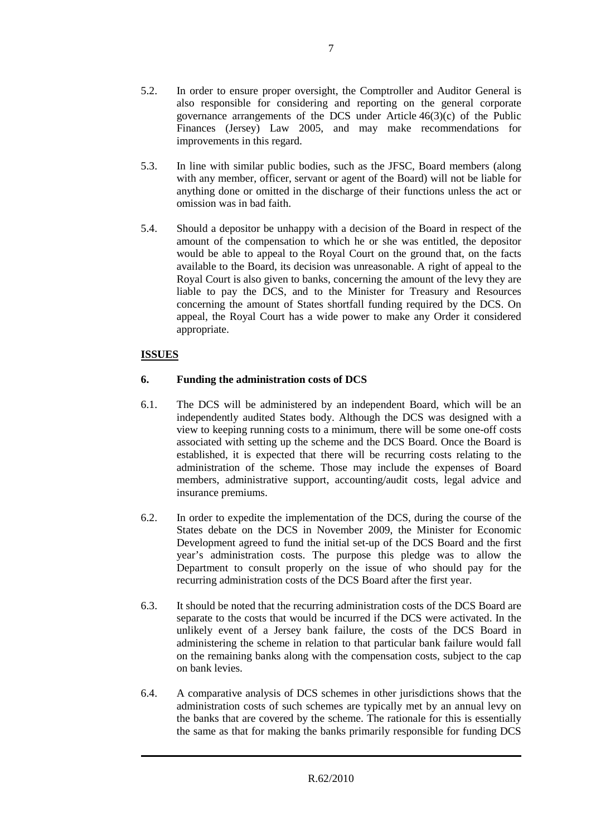- 5.2. In order to ensure proper oversight, the Comptroller and Auditor General is also responsible for considering and reporting on the general corporate governance arrangements of the DCS under Article 46(3)(c) of the Public Finances (Jersey) Law 2005, and may make recommendations for improvements in this regard.
- 5.3. In line with similar public bodies, such as the JFSC, Board members (along with any member, officer, servant or agent of the Board) will not be liable for anything done or omitted in the discharge of their functions unless the act or omission was in bad faith.
- 5.4. Should a depositor be unhappy with a decision of the Board in respect of the amount of the compensation to which he or she was entitled, the depositor would be able to appeal to the Royal Court on the ground that, on the facts available to the Board, its decision was unreasonable. A right of appeal to the Royal Court is also given to banks, concerning the amount of the levy they are liable to pay the DCS, and to the Minister for Treasury and Resources concerning the amount of States shortfall funding required by the DCS. On appeal, the Royal Court has a wide power to make any Order it considered appropriate.

#### **ISSUES**

#### **6. Funding the administration costs of DCS**

- 6.1. The DCS will be administered by an independent Board, which will be an independently audited States body. Although the DCS was designed with a view to keeping running costs to a minimum, there will be some one-off costs associated with setting up the scheme and the DCS Board. Once the Board is established, it is expected that there will be recurring costs relating to the administration of the scheme. Those may include the expenses of Board members, administrative support, accounting/audit costs, legal advice and insurance premiums.
- 6.2. In order to expedite the implementation of the DCS, during the course of the States debate on the DCS in November 2009, the Minister for Economic Development agreed to fund the initial set-up of the DCS Board and the first year's administration costs. The purpose this pledge was to allow the Department to consult properly on the issue of who should pay for the recurring administration costs of the DCS Board after the first year.
- 6.3. It should be noted that the recurring administration costs of the DCS Board are separate to the costs that would be incurred if the DCS were activated. In the unlikely event of a Jersey bank failure, the costs of the DCS Board in administering the scheme in relation to that particular bank failure would fall on the remaining banks along with the compensation costs, subject to the cap on bank levies.
- 6.4. A comparative analysis of DCS schemes in other jurisdictions shows that the administration costs of such schemes are typically met by an annual levy on the banks that are covered by the scheme. The rationale for this is essentially the same as that for making the banks primarily responsible for funding DCS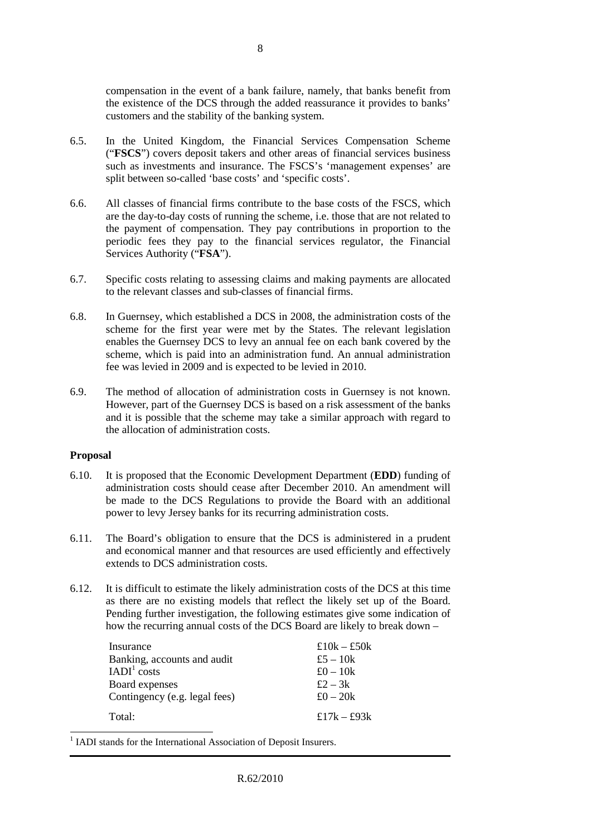compensation in the event of a bank failure, namely, that banks benefit from the existence of the DCS through the added reassurance it provides to banks' customers and the stability of the banking system.

- 6.5. In the United Kingdom, the Financial Services Compensation Scheme ("**FSCS**") covers deposit takers and other areas of financial services business such as investments and insurance. The FSCS's 'management expenses' are split between so-called 'base costs' and 'specific costs'.
- 6.6. All classes of financial firms contribute to the base costs of the FSCS, which are the day-to-day costs of running the scheme, i.e. those that are not related to the payment of compensation. They pay contributions in proportion to the periodic fees they pay to the financial services regulator, the Financial Services Authority ("**FSA**").
- 6.7. Specific costs relating to assessing claims and making payments are allocated to the relevant classes and sub-classes of financial firms.
- 6.8. In Guernsey, which established a DCS in 2008, the administration costs of the scheme for the first year were met by the States. The relevant legislation enables the Guernsey DCS to levy an annual fee on each bank covered by the scheme, which is paid into an administration fund. An annual administration fee was levied in 2009 and is expected to be levied in 2010.
- 6.9. The method of allocation of administration costs in Guernsey is not known. However, part of the Guernsey DCS is based on a risk assessment of the banks and it is possible that the scheme may take a similar approach with regard to the allocation of administration costs.

#### **Proposal**

 $\overline{a}$ 

- 6.10. It is proposed that the Economic Development Department (**EDD**) funding of administration costs should cease after December 2010. An amendment will be made to the DCS Regulations to provide the Board with an additional power to levy Jersey banks for its recurring administration costs.
- 6.11. The Board's obligation to ensure that the DCS is administered in a prudent and economical manner and that resources are used efficiently and effectively extends to DCS administration costs.
- 6.12. It is difficult to estimate the likely administration costs of the DCS at this time as there are no existing models that reflect the likely set up of the Board. Pending further investigation, the following estimates give some indication of how the recurring annual costs of the DCS Board are likely to break down –

| Insurance                     | $£10k - £50k$   |
|-------------------------------|-----------------|
| Banking, accounts and audit   | £5 – 10 $k$     |
| IADI <sup>1</sup> costs       | £0 $-10k$       |
| Board expenses                | $£2 - 3k$       |
| Contingency (e.g. legal fees) | £ $0 - 20k$     |
| Total:                        | £17 $k - 0.93k$ |

<sup>1</sup> IADI stands for the International Association of Deposit Insurers.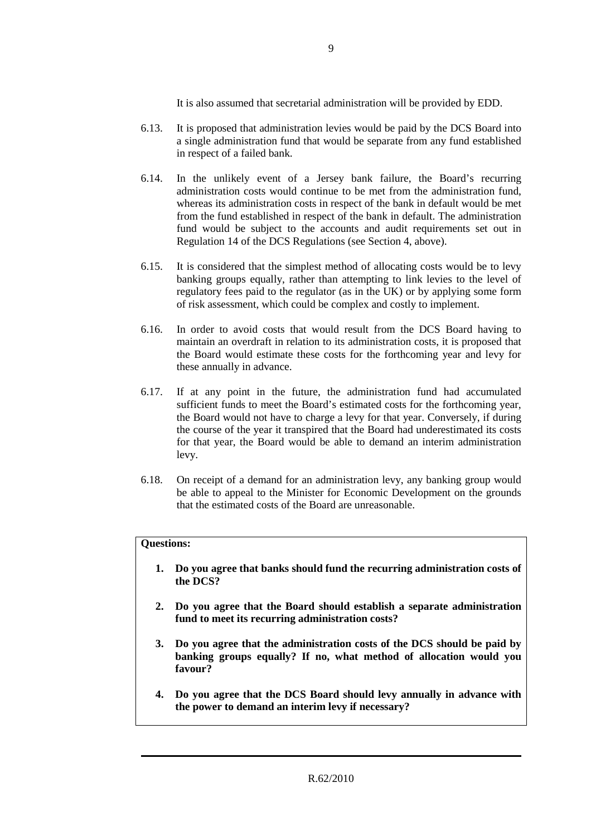It is also assumed that secretarial administration will be provided by EDD.

- 6.13. It is proposed that administration levies would be paid by the DCS Board into a single administration fund that would be separate from any fund established in respect of a failed bank.
- 6.14. In the unlikely event of a Jersey bank failure, the Board's recurring administration costs would continue to be met from the administration fund, whereas its administration costs in respect of the bank in default would be met from the fund established in respect of the bank in default. The administration fund would be subject to the accounts and audit requirements set out in Regulation 14 of the DCS Regulations (see Section 4, above).
- 6.15. It is considered that the simplest method of allocating costs would be to levy banking groups equally, rather than attempting to link levies to the level of regulatory fees paid to the regulator (as in the UK) or by applying some form of risk assessment, which could be complex and costly to implement.
- 6.16. In order to avoid costs that would result from the DCS Board having to maintain an overdraft in relation to its administration costs, it is proposed that the Board would estimate these costs for the forthcoming year and levy for these annually in advance.
- 6.17. If at any point in the future, the administration fund had accumulated sufficient funds to meet the Board's estimated costs for the forthcoming year, the Board would not have to charge a levy for that year. Conversely, if during the course of the year it transpired that the Board had underestimated its costs for that year, the Board would be able to demand an interim administration levy.
- 6.18. On receipt of a demand for an administration levy, any banking group would be able to appeal to the Minister for Economic Development on the grounds that the estimated costs of the Board are unreasonable.

#### **Questions:**

- **1. Do you agree that banks should fund the recurring administration costs of the DCS?**
- **2. Do you agree that the Board should establish a separate administration fund to meet its recurring administration costs?**
- **3. Do you agree that the administration costs of the DCS should be paid by banking groups equally? If no, what method of allocation would you favour?**
- **4. Do you agree that the DCS Board should levy annually in advance with the power to demand an interim levy if necessary?**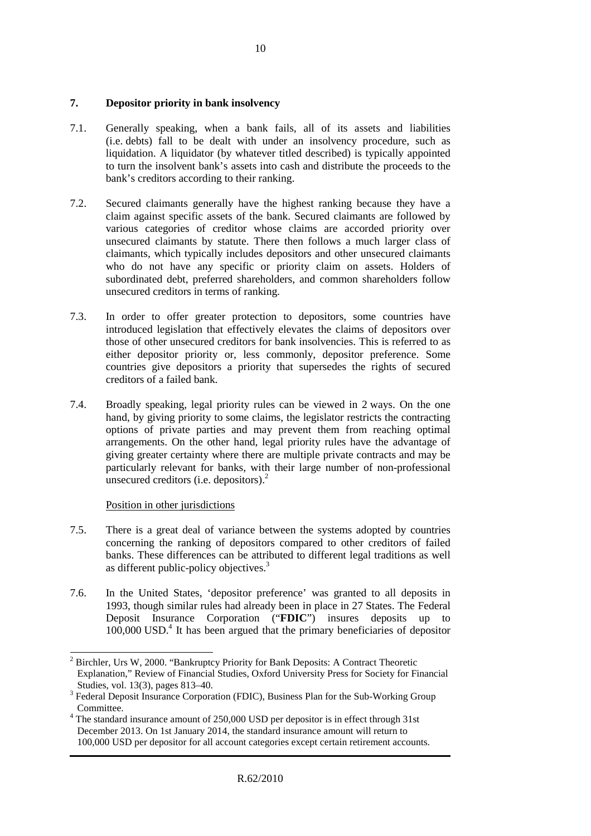#### **7. Depositor priority in bank insolvency**

- 7.1. Generally speaking, when a bank fails, all of its assets and liabilities (i.e. debts) fall to be dealt with under an insolvency procedure, such as liquidation. A liquidator (by whatever titled described) is typically appointed to turn the insolvent bank's assets into cash and distribute the proceeds to the bank's creditors according to their ranking.
- 7.2. Secured claimants generally have the highest ranking because they have a claim against specific assets of the bank. Secured claimants are followed by various categories of creditor whose claims are accorded priority over unsecured claimants by statute. There then follows a much larger class of claimants, which typically includes depositors and other unsecured claimants who do not have any specific or priority claim on assets. Holders of subordinated debt, preferred shareholders, and common shareholders follow unsecured creditors in terms of ranking.
- 7.3. In order to offer greater protection to depositors, some countries have introduced legislation that effectively elevates the claims of depositors over those of other unsecured creditors for bank insolvencies. This is referred to as either depositor priority or, less commonly, depositor preference. Some countries give depositors a priority that supersedes the rights of secured creditors of a failed bank.
- 7.4. Broadly speaking, legal priority rules can be viewed in 2 ways. On the one hand, by giving priority to some claims, the legislator restricts the contracting options of private parties and may prevent them from reaching optimal arrangements. On the other hand, legal priority rules have the advantage of giving greater certainty where there are multiple private contracts and may be particularly relevant for banks, with their large number of non-professional unsecured creditors (i.e. depositors).<sup>2</sup>

#### Position in other jurisdictions

- 7.5. There is a great deal of variance between the systems adopted by countries concerning the ranking of depositors compared to other creditors of failed banks. These differences can be attributed to different legal traditions as well as different public-policy objectives.<sup>3</sup>
- 7.6. In the United States, 'depositor preference' was granted to all deposits in 1993, though similar rules had already been in place in 27 States. The Federal Deposit Insurance Corporation ("**FDIC**") insures deposits up to 100,000 USD.<sup>4</sup> It has been argued that the primary beneficiaries of depositor

<sup>&</sup>lt;sup>2</sup> Birchler, Urs W, 2000. "Bankruptcy Priority for Bank Deposits: A Contract Theoretic Explanation," Review of Financial Studies, Oxford University Press for Society for Financial Studies, vol. 13(3), pages 813–40.

<sup>&</sup>lt;sup>3</sup> Federal Deposit Insurance Corporation (FDIC), Business Plan for the Sub-Working Group Committee.

<sup>&</sup>lt;sup>4</sup> The standard insurance amount of 250,000 USD per depositor is in effect through 31st December 2013. On 1st January 2014, the standard insurance amount will return to 100,000 USD per depositor for all account categories except certain retirement accounts.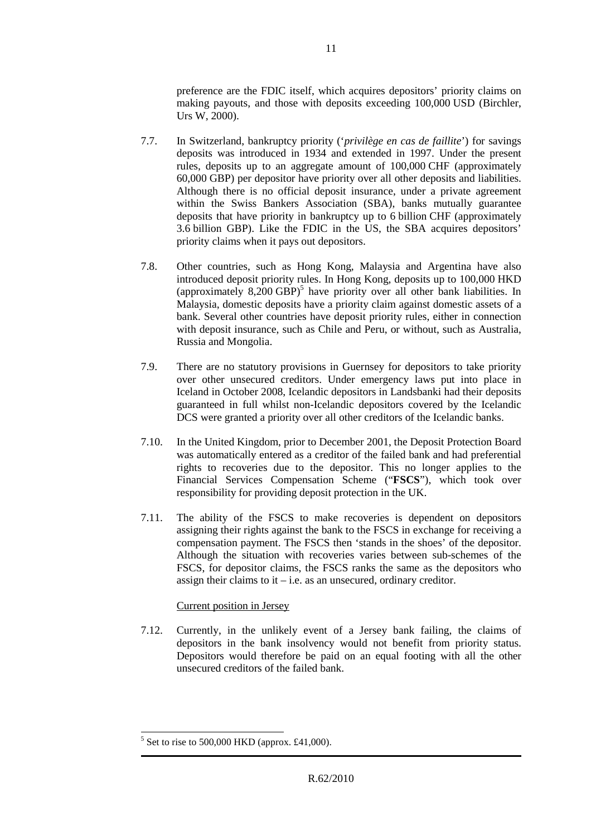preference are the FDIC itself, which acquires depositors' priority claims on making payouts, and those with deposits exceeding 100,000 USD (Birchler, Urs W, 2000).

- 7.7. In Switzerland, bankruptcy priority ('*privilège en cas de faillite*') for savings deposits was introduced in 1934 and extended in 1997. Under the present rules, deposits up to an aggregate amount of 100,000 CHF (approximately 60,000 GBP) per depositor have priority over all other deposits and liabilities. Although there is no official deposit insurance, under a private agreement within the Swiss Bankers Association (SBA), banks mutually guarantee deposits that have priority in bankruptcy up to 6 billion CHF (approximately 3.6 billion GBP). Like the FDIC in the US, the SBA acquires depositors' priority claims when it pays out depositors.
- 7.8. Other countries, such as Hong Kong, Malaysia and Argentina have also introduced deposit priority rules. In Hong Kong, deposits up to 100,000 HKD (approximately  $8,200$  GBP)<sup>5</sup> have priority over all other bank liabilities. In Malaysia, domestic deposits have a priority claim against domestic assets of a bank. Several other countries have deposit priority rules, either in connection with deposit insurance, such as Chile and Peru, or without, such as Australia, Russia and Mongolia.
- 7.9. There are no statutory provisions in Guernsey for depositors to take priority over other unsecured creditors. Under emergency laws put into place in Iceland in October 2008, Icelandic depositors in Landsbanki had their deposits guaranteed in full whilst non-Icelandic depositors covered by the Icelandic DCS were granted a priority over all other creditors of the Icelandic banks.
- 7.10. In the United Kingdom, prior to December 2001, the Deposit Protection Board was automatically entered as a creditor of the failed bank and had preferential rights to recoveries due to the depositor. This no longer applies to the Financial Services Compensation Scheme ("**FSCS**"), which took over responsibility for providing deposit protection in the UK.
- 7.11. The ability of the FSCS to make recoveries is dependent on depositors assigning their rights against the bank to the FSCS in exchange for receiving a compensation payment. The FSCS then 'stands in the shoes' of the depositor. Although the situation with recoveries varies between sub-schemes of the FSCS, for depositor claims, the FSCS ranks the same as the depositors who assign their claims to it – i.e. as an unsecured, ordinary creditor.

#### Current position in Jersey

7.12. Currently, in the unlikely event of a Jersey bank failing, the claims of depositors in the bank insolvency would not benefit from priority status. Depositors would therefore be paid on an equal footing with all the other unsecured creditors of the failed bank.

 $\overline{a}$  $<sup>5</sup>$  Set to rise to 500,000 HKD (approx. £41,000).</sup>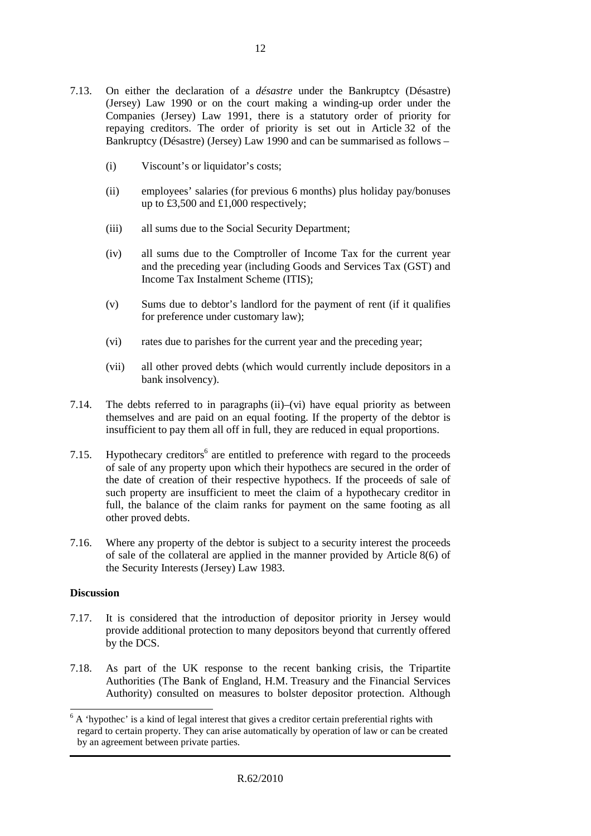- (i) Viscount's or liquidator's costs;
- (ii) employees' salaries (for previous 6 months) plus holiday pay/bonuses up to £3,500 and £1,000 respectively;
- (iii) all sums due to the Social Security Department;
- (iv) all sums due to the Comptroller of Income Tax for the current year and the preceding year (including Goods and Services Tax (GST) and Income Tax Instalment Scheme (ITIS);
- (v) Sums due to debtor's landlord for the payment of rent (if it qualifies for preference under customary law);
- (vi) rates due to parishes for the current year and the preceding year;
- (vii) all other proved debts (which would currently include depositors in a bank insolvency).
- 7.14. The debts referred to in paragraphs (ii)–(vi) have equal priority as between themselves and are paid on an equal footing. If the property of the debtor is insufficient to pay them all off in full, they are reduced in equal proportions.
- 7.15. Hypothecary creditors $6$  are entitled to preference with regard to the proceeds of sale of any property upon which their hypothecs are secured in the order of the date of creation of their respective hypothecs. If the proceeds of sale of such property are insufficient to meet the claim of a hypothecary creditor in full, the balance of the claim ranks for payment on the same footing as all other proved debts.
- 7.16. Where any property of the debtor is subject to a security interest the proceeds of sale of the collateral are applied in the manner provided by Article 8(6) of the Security Interests (Jersey) Law 1983.

#### **Discussion**

- 7.17. It is considered that the introduction of depositor priority in Jersey would provide additional protection to many depositors beyond that currently offered by the DCS.
- 7.18. As part of the UK response to the recent banking crisis, the Tripartite Authorities (The Bank of England, H.M. Treasury and the Financial Services Authority) consulted on measures to bolster depositor protection. Although

<sup>&</sup>lt;sup>6</sup> A 'hypothec' is a kind of legal interest that gives a creditor certain preferential rights with regard to certain property. They can arise automatically by operation of law or can be created by an agreement between private parties.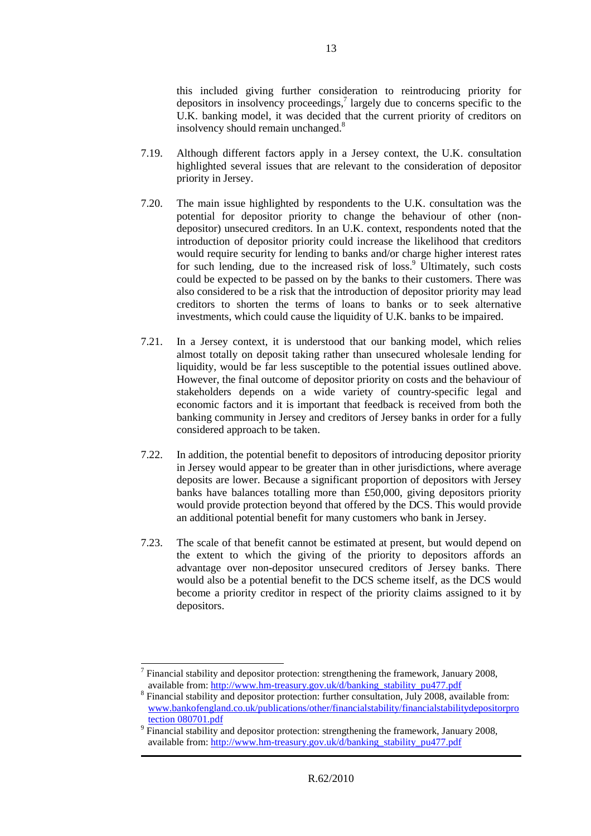this included giving further consideration to reintroducing priority for depositors in insolvency proceedings, $\frac{7}{1}$  largely due to concerns specific to the U.K. banking model, it was decided that the current priority of creditors on insolvency should remain unchanged.<sup>8</sup>

- 7.19. Although different factors apply in a Jersey context, the U.K. consultation highlighted several issues that are relevant to the consideration of depositor priority in Jersey.
- 7.20. The main issue highlighted by respondents to the U.K. consultation was the potential for depositor priority to change the behaviour of other (nondepositor) unsecured creditors. In an U.K. context, respondents noted that the introduction of depositor priority could increase the likelihood that creditors would require security for lending to banks and/or charge higher interest rates for such lending, due to the increased risk of loss.<sup>9</sup> Ultimately, such costs could be expected to be passed on by the banks to their customers. There was also considered to be a risk that the introduction of depositor priority may lead creditors to shorten the terms of loans to banks or to seek alternative investments, which could cause the liquidity of U.K. banks to be impaired.
- 7.21. In a Jersey context, it is understood that our banking model, which relies almost totally on deposit taking rather than unsecured wholesale lending for liquidity, would be far less susceptible to the potential issues outlined above. However, the final outcome of depositor priority on costs and the behaviour of stakeholders depends on a wide variety of country-specific legal and economic factors and it is important that feedback is received from both the banking community in Jersey and creditors of Jersey banks in order for a fully considered approach to be taken.
- 7.22. In addition, the potential benefit to depositors of introducing depositor priority in Jersey would appear to be greater than in other jurisdictions, where average deposits are lower. Because a significant proportion of depositors with Jersey banks have balances totalling more than £50,000, giving depositors priority would provide protection beyond that offered by the DCS. This would provide an additional potential benefit for many customers who bank in Jersey.
- 7.23. The scale of that benefit cannot be estimated at present, but would depend on the extent to which the giving of the priority to depositors affords an advantage over non-depositor unsecured creditors of Jersey banks. There would also be a potential benefit to the DCS scheme itself, as the DCS would become a priority creditor in respect of the priority claims assigned to it by depositors.

 7 Financial stability and depositor protection: strengthening the framework, January 2008, available from: http://www.hm-treasury.gov.uk/d/banking\_stability\_pu477.pdf

 $8$  Financial stability and depositor protection: further consultation, July 2008, available from: www.bankofengland.co.uk/publications/other/financialstability/financialstabilitydepositorpro tection 080701.pdf

<sup>&</sup>lt;sup>9</sup> Financial stability and depositor protection: strengthening the framework, January 2008, available from: http://www.hm-treasury.gov.uk/d/banking\_stability\_pu477.pdf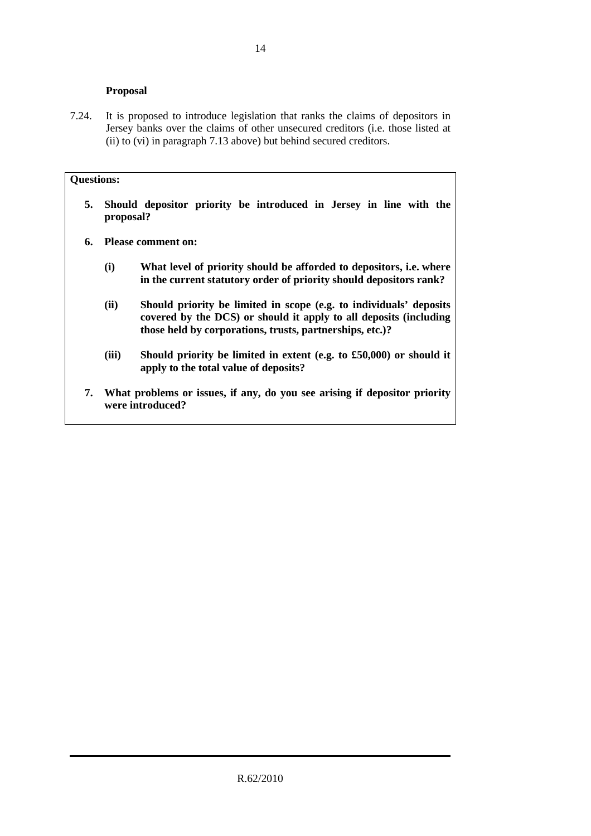#### **Proposal**

7.24. It is proposed to introduce legislation that ranks the claims of depositors in Jersey banks over the claims of other unsecured creditors (i.e. those listed at (ii) to (vi) in paragraph 7.13 above) but behind secured creditors.

#### **Questions:**

- **5. Should depositor priority be introduced in Jersey in line with the proposal?**
- **6. Please comment on:** 
	- **(i) What level of priority should be afforded to depositors, i.e. where in the current statutory order of priority should depositors rank?**
	- **(ii) Should priority be limited in scope (e.g. to individuals' deposits covered by the DCS) or should it apply to all deposits (including those held by corporations, trusts, partnerships, etc.)?**
	- **(iii) Should priority be limited in extent (e.g. to £50,000) or should it apply to the total value of deposits?**
- **7. What problems or issues, if any, do you see arising if depositor priority were introduced?**